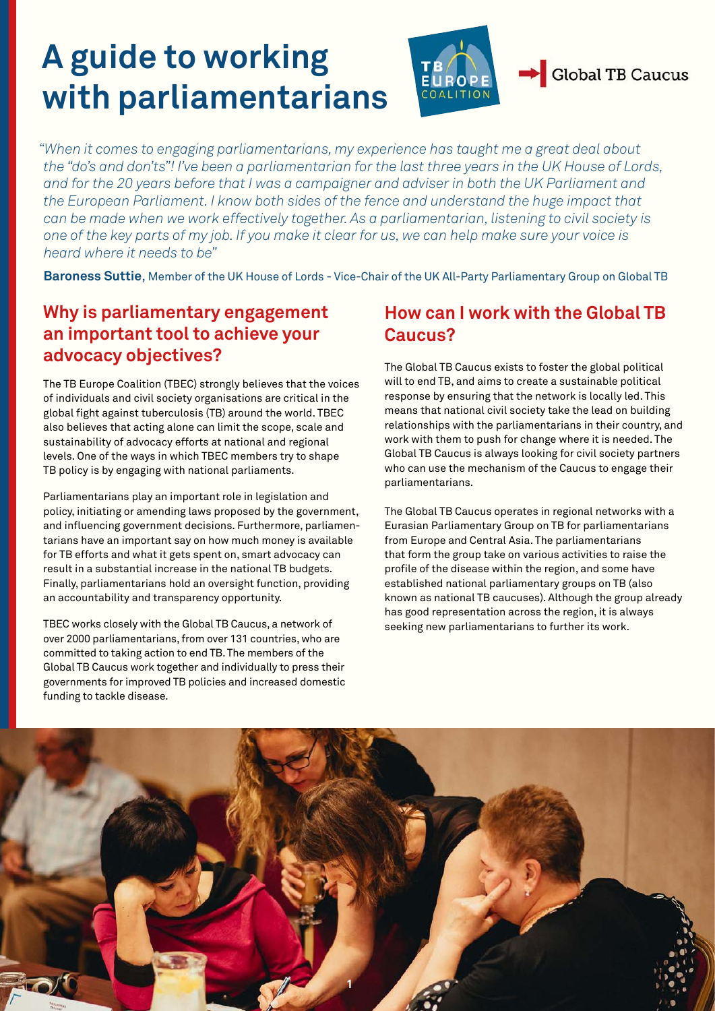# **A guide to working with parliamentarians**



*"When it comes to engaging parliamentarians, my experience has taught me a great deal about the "do's and don'ts"! I've been a parliamentarian for the last three years in the UK House of Lords, and for the 20 years before that I was a campaigner and adviser in both the UK Parliament and the European Parliament. I know both sides of the fence and understand the huge impact that can be made when we work effectively together. As a parliamentarian, listening to civil society is one of the key parts of my job. If you make it clear for us, we can help make sure your voice is heard where it needs to be"*

**Baroness Suttie**, Member of the UK House of Lords - Vice-Chair of the UK All-Party Parliamentary Group on Global TB

# **Why is parliamentary engagement an important tool to achieve your advocacy objectives?**

The TB Europe Coalition (TBEC) strongly believes that the voices of individuals and civil society organisations are critical in the global fight against tuberculosis (TB) around the world. TBEC also believes that acting alone can limit the scope, scale and sustainability of advocacy efforts at national and regional levels. One of the ways in which TBEC members try to shape TB policy is by engaging with national parliaments.

Parliamentarians play an important role in legislation and policy, initiating or amending laws proposed by the government, and influencing government decisions. Furthermore, parliamentarians have an important say on how much money is available for TB efforts and what it gets spent on, smart advocacy can result in a substantial increase in the national TB budgets. Finally, parliamentarians hold an oversight function, providing an accountability and transparency opportunity.

TBEC works closely with the Global TB Caucus, a network of over 2000 parliamentarians, from over 131 countries, who are committed to taking action to end TB. The members of the Global TB Caucus work together and individually to press their governments for improved TB policies and increased domestic funding to tackle disease.

# **How can I work with the Global TB Caucus?**

The Global TB Caucus exists to foster the global political will to end TB, and aims to create a sustainable political response by ensuring that the network is locally led. This means that national civil society take the lead on building relationships with the parliamentarians in their country, and work with them to push for change where it is needed. The Global TB Caucus is always looking for civil society partners who can use the mechanism of the Caucus to engage their parliamentarians.

The Global TB Caucus operates in regional networks with a Eurasian Parliamentary Group on TB for parliamentarians from Europe and Central Asia. The parliamentarians that form the group take on various activities to raise the profile of the disease within the region, and some have established national parliamentary groups on TB (also known as national TB caucuses). Although the group already has good representation across the region, it is always seeking new parliamentarians to further its work.

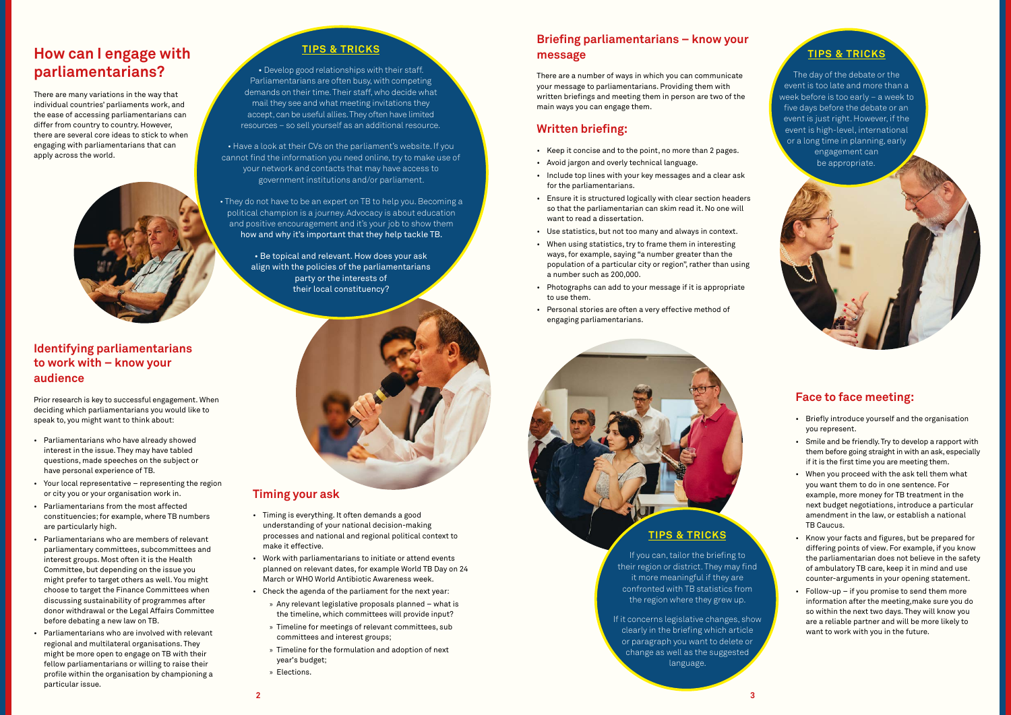### **TIPS & TRICKS**

• Develop good relationships with their staff. Parliamentarians are often busy, with competing demands on their time. Their staff, who decide what mail they see and what meeting invitations they accept, can be useful allies. They often have limited resources – so sell yourself as an additional resource.

• Have a look at their CVs on the parliament's website. If you cannot find the information you need online, try to make use of your network and contacts that may have access to government institutions and/or parliament.

• They do not have to be an expert on TB to help you. Becoming a political champion is a journey. Advocacy is about education and positive encouragement and it's your job to show them how and why it's important that they help tackle TB.

> • Be topical and relevant. How does your ask align with the policies of the parliamentarians party or the interests of their local constituency?



#### **TIPS & TRICKS**

The day of the debate or the event is too late and more than a week before is too early – a week to five days before the debate or an event is just right. However, if the event is high-level, international or a long time in planning, early engagement can be appropriate.

#### **TIPS & TRICKS**

If you can, tailor the briefing to their region or district. They may find it more meaningful if they are confronted with TB statistics from the region where they grew up.

If it concerns legislative changes, show clearly in the briefing which article or paragraph you want to delete or change as well as the suggested language.

#### **Timing your ask**

- Timing is everything. It often demands a good understanding of your national decision-making processes and national and regional political context to make it effective.
- Work with parliamentarians to initiate or attend events planned on relevant dates, for example World TB Day on 24 March or WHO World Antibiotic Awareness week.
- Check the agenda of the parliament for the next year:
	- » Any relevant legislative proposals planned what is the timeline, which committees will provide input?
	- » Timeline for meetings of relevant committees, sub committees and interest groups;
	- » Timeline for the formulation and adoption of next year's budget;
	- » Elections.

# **Briefing parliamentarians – know your message**

There are a number of ways in which you can communicate your message to parliamentarians. Providing them with written briefings and meeting them in person are two of the main ways you can engage them.

### **Written briefing:**

- Keep it concise and to the point, no more than 2 pages.
- Avoid jargon and overly technical language.
- Include top lines with your key messages and a clear ask for the parliamentarians.
- Ensure it is structured logically with clear section headers so that the parliamentarian can skim read it. No one will want to read a dissertation.
- Use statistics, but not too many and always in context.
- When using statistics, try to frame them in interesting ways, for example, saying "a number greater than the population of a particular city or region", rather than using a number such as 200,000.
- Photographs can add to your message if it is appropriate to use them.
- Personal stories are often a very effective method of engaging parliamentarians.

# **Face to face meeting:**

- Briefly introduce yourself and the organisation you represent.
- Smile and be friendly. Try to develop a rapport with them before going straight in with an ask, especially if it is the first time you are meeting them.
- When you proceed with the ask tell them what you want them to do in one sentence. For example, more money for TB treatment in the next budget negotiations, introduce a particular amendment in the law, or establish a national TB Caucus.
- Know your facts and figures, but be prepared for differing points of view. For example, if you know the parliamentarian does not believe in the safety of ambulatory TB care, keep it in mind and use counter-arguments in your opening statement.
- Follow-up if you promise to send them more information after the meeting,make sure you do so within the next two days. They will know you are a reliable partner and will be more likely to want to work with you in the future.

### **Identifying parliamentarians to work with – know your audience**

Prior research is key to successful engagement. When deciding which parliamentarians you would like to speak to, you might want to think about:

- Parliamentarians who have already showed interest in the issue. They may have tabled questions, made speeches on the subject or have personal experience of TB.
- Your local representative representing the region or city you or your organisation work in.
- Parliamentarians from the most affected constituencies; for example, where TB numbers are particularly high.
- Parliamentarians who are members of relevant parliamentary committees, subcommittees and interest groups. Most often it is the Health Committee, but depending on the issue you might prefer to target others as well. You might choose to target the Finance Committees when discussing sustainability of programmes after donor withdrawal or the Legal Affairs Committee before debating a new law on TB.
- Parliamentarians who are involved with relevant regional and multilateral organisations. They might be more open to engage on TB with their fellow parliamentarians or willing to raise their profile within the organisation by championing a particular issue.

# **How can I engage with parliamentarians?**

There are many variations in the way that individual countries' parliaments work, and the ease of accessing parliamentarians can differ from country to country. However, there are several core ideas to stick to when engaging with parliamentarians that can apply across the world.